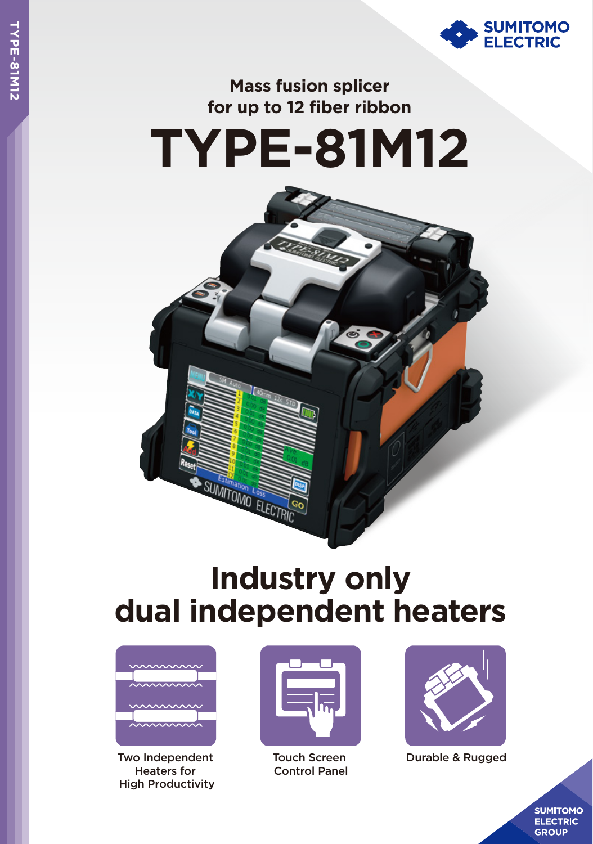

## **Mass fusion splicer for up to 12 fiber ribbon**





## **Industry only dual independent heaters**



Two Independent Heaters for High Productivity



Touch Screen Control Panel



Durable & Rugged

**SUMITOMO ELECTRIC GROUP**